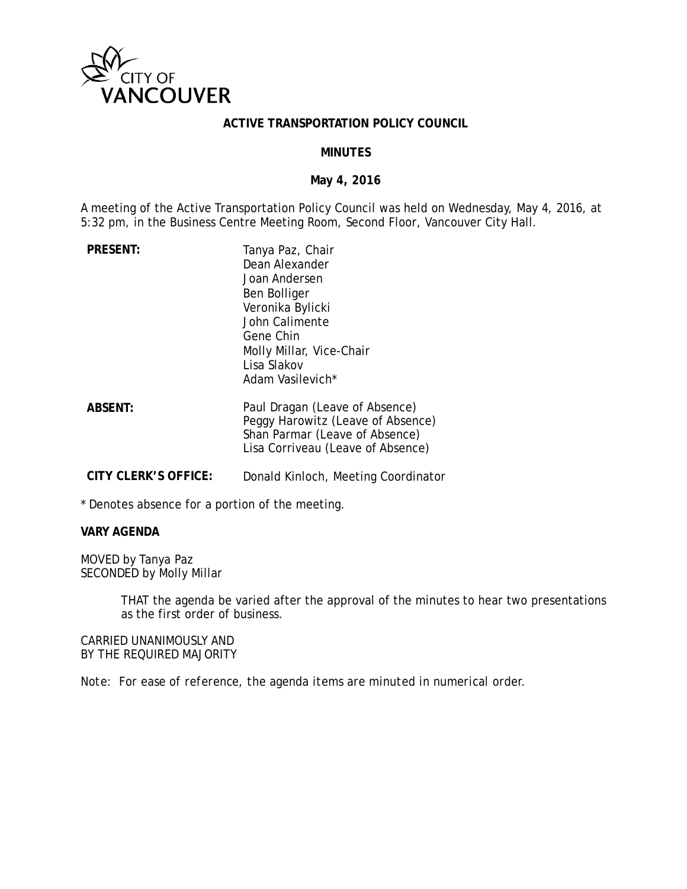

#### **ACTIVE TRANSPORTATION POLICY COUNCIL**

#### **MINUTES**

### **May 4, 2016**

A meeting of the Active Transportation Policy Council was held on Wednesday, May 4, 2016, at 5:32 pm, in the Business Centre Meeting Room, Second Floor, Vancouver City Hall.

| <b>PRESENT:</b> | Tanya Paz, Chair<br>Dean Alexander<br>Joan Andersen<br>Ben Bolliger                                                                        |
|-----------------|--------------------------------------------------------------------------------------------------------------------------------------------|
|                 | Veronika Bylicki<br>John Calimente<br>Gene Chin                                                                                            |
|                 | Molly Millar, Vice-Chair<br>Lisa Slakov<br>Adam Vasilevich*                                                                                |
| <b>ABSENT:</b>  | Paul Dragan (Leave of Absence)<br>Peggy Harowitz (Leave of Absence)<br>Shan Parmar (Leave of Absence)<br>Lisa Corriveau (Leave of Absence) |

**CITY CLERK'S OFFICE:** Donald Kinloch, Meeting Coordinator

\* Denotes absence for a portion of the meeting.

#### **VARY AGENDA**

MOVED by Tanya Paz SECONDED by Molly Millar

> THAT the agenda be varied after the approval of the minutes to hear two presentations as the first order of business.

CARRIED UNANIMOUSLY AND BY THE REQUIRED MAJORITY

*Note: For ease of reference, the agenda items are minuted in numerical order.*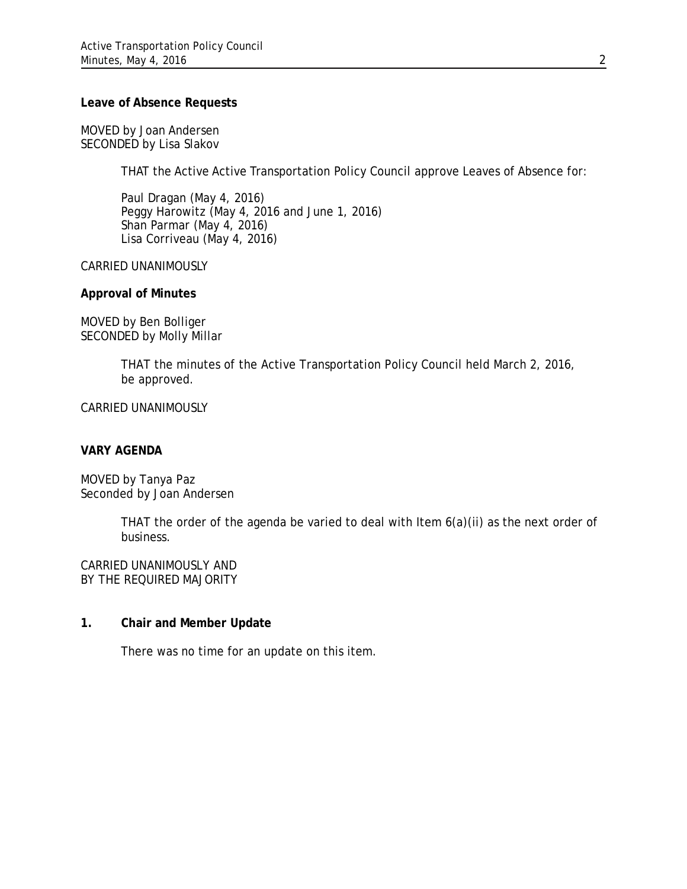#### **Leave of Absence Requests**

MOVED by Joan Andersen SECONDED by Lisa Slakov

THAT the Active Active Transportation Policy Council approve Leaves of Absence for:

Paul Dragan (May 4, 2016) Peggy Harowitz (May 4, 2016 and June 1, 2016) Shan Parmar (May 4, 2016) Lisa Corriveau (May 4, 2016)

CARRIED UNANIMOUSLY

#### **Approval of Minutes**

MOVED by Ben Bolliger SECONDED by Molly Millar

> THAT the minutes of the Active Transportation Policy Council held March 2, 2016, be approved.

CARRIED UNANIMOUSLY

#### **VARY AGENDA**

MOVED by Tanya Paz Seconded by Joan Andersen

> THAT the order of the agenda be varied to deal with Item 6(a)(ii) as the next order of business.

CARRIED UNANIMOUSLY AND BY THE REQUIRED MAJORITY

#### **1. Chair and Member Update**

There was no time for an update on this item.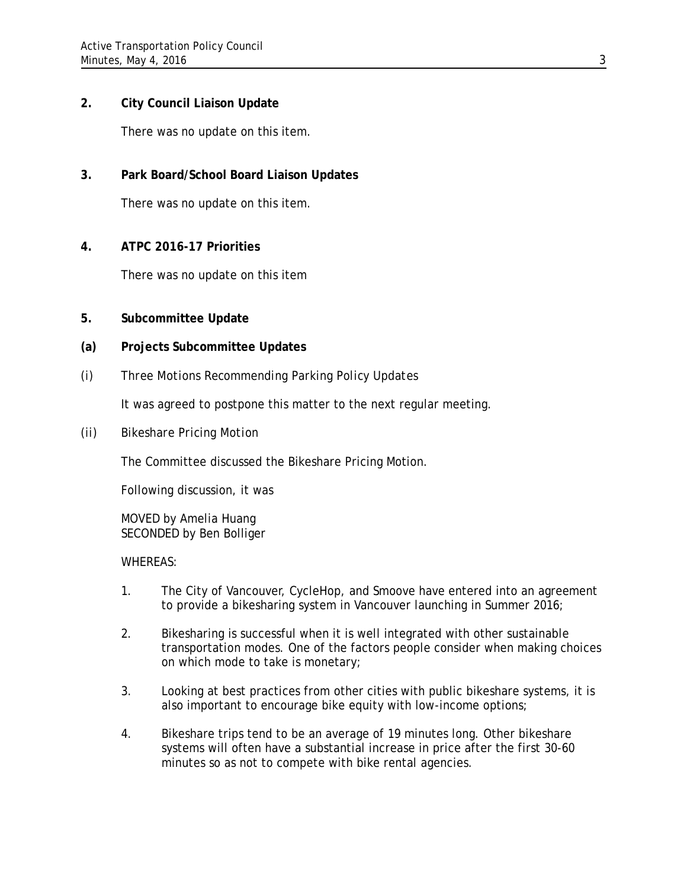# **2. City Council Liaison Update**

There was no update on this item.

# **3. Park Board/School Board Liaison Updates**

There was no update on this item.

# **4. ATPC 2016-17 Priorities**

There was no update on this item

# **5. Subcommittee Update**

# **(a) Projects Subcommittee Updates**

*(i) Three Motions Recommending Parking Policy Updates*

It was agreed to postpone this matter to the next regular meeting.

*(ii) Bikeshare Pricing Motion* 

The Committee discussed the Bikeshare Pricing Motion.

Following discussion, it was

MOVED by Amelia Huang SECONDED by Ben Bolliger

#### WHEREAS:

- 1. The City of Vancouver, CycleHop, and Smoove have entered into an agreement to provide a bikesharing system in Vancouver launching in Summer 2016;
- 2. Bikesharing is successful when it is well integrated with other sustainable transportation modes. One of the factors people consider when making choices on which mode to take is monetary;
- 3. Looking at best practices from other cities with public bikeshare systems, it is also important to encourage bike equity with low-income options;
- 4. Bikeshare trips tend to be an average of 19 minutes long. Other bikeshare systems will often have a substantial increase in price after the first 30-60 minutes so as not to compete with bike rental agencies.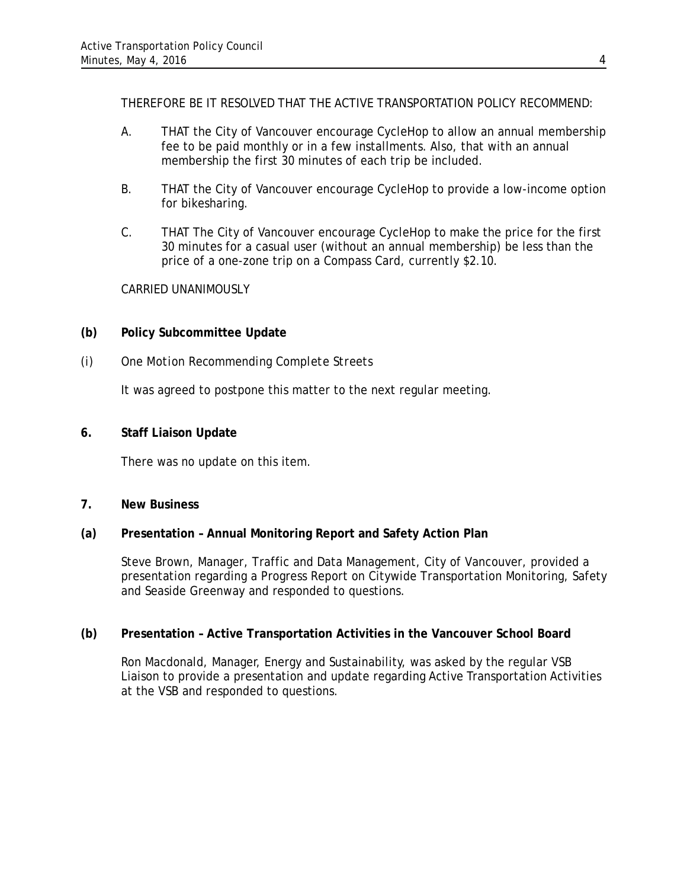THEREFORE BE IT RESOLVED THAT THE ACTIVE TRANSPORTATION POLICY RECOMMEND:

- A. THAT the City of Vancouver encourage CycleHop to allow an annual membership fee to be paid monthly or in a few installments. Also, that with an annual membership the first 30 minutes of each trip be included.
- B. THAT the City of Vancouver encourage CycleHop to provide a low-income option for bikesharing.
- C. THAT The City of Vancouver encourage CycleHop to make the price for the first 30 minutes for a casual user (without an annual membership) be less than the price of a one-zone trip on a Compass Card, currently \$2.10.

CARRIED UNANIMOUSLY

# **(b) Policy Subcommittee Update**

*(i) One Motion Recommending Complete Streets*

It was agreed to postpone this matter to the next regular meeting.

# **6. Staff Liaison Update**

There was no update on this item.

# **7. New Business**

# **(a) Presentation – Annual Monitoring Report and Safety Action Plan**

Steve Brown, Manager, Traffic and Data Management, City of Vancouver, provided a presentation regarding a Progress Report on Citywide Transportation Monitoring, Safety and Seaside Greenway and responded to questions.

# **(b) Presentation – Active Transportation Activities in the Vancouver School Board**

Ron Macdonald, Manager, Energy and Sustainability, was asked by the regular VSB Liaison to provide a presentation and update regarding Active Transportation Activities at the VSB and responded to questions.